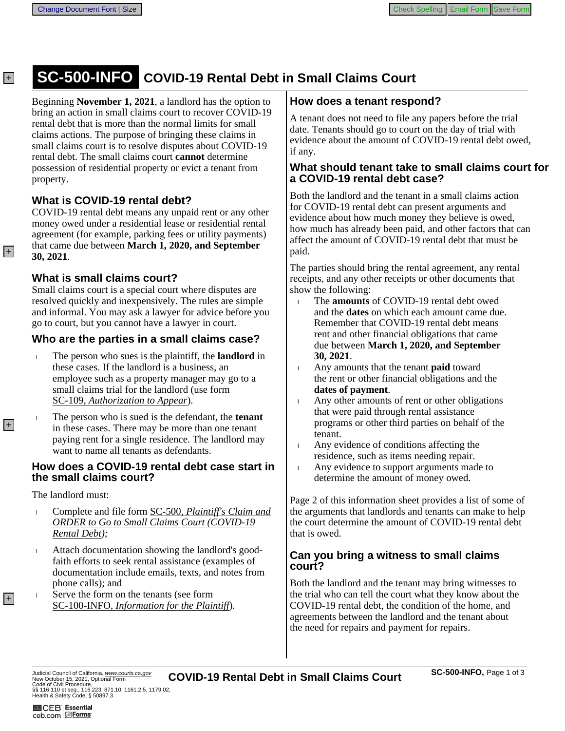# **SC-500-INFO COVID-19 Rental Debt in Small Claims Court**

Beginning **November 1, 2021**, a landlord has the option to bring an action in small claims court to recover COVID-19 rental debt that is more than the normal limits for small claims actions. The purpose of bringing these claims in small claims court is to resolve disputes about COVID-19 rental debt. The small claims court cannot determine possession of residential property or evict a tenant from property.

#### **What is COVID-19 rental debt?**

COVID-19 rental debt means any unpaid rent or any other money owed under a residential lease or residential rental agreement (for example, parking fees or utility payments) that came due between March 1, 2020, and September 30, 2021.

#### **What is small claims court?**

Small claims court is a special court where disputes are resolved quickly and inexpensively. The rules are simple and informal. You may ask a lawyer for advice before you go to court, but you cannot have a lawyer in court.

#### **Who are the parties in a small claims case?**

- The person who sues is the plaintiff, the **landlord** in these cases. If the landlord is a business, an employee such as a property manager may go to a small claims trial for the landlord (use form SC-109, Authorization to Appear).
- The person who is sued is the defendant, the **tenant** in these cases. There may be more than one tenant paying rent for a single residence. The landlord may want to name all tenants as defendants.

#### How does a COVID-19 rental debt case start in **the small claims court?**

The landlord must:

- Complete and file form SC-500, Plaintiff's Claim and **ORDER to Go to Small Claims Court (COVID-19)** Rental Debt);
- Attach documentation showing the landlord's good- $\overline{1}$ faith efforts to seek rental assistance (examples of documentation include emails, texts, and notes from phone calls); and
- Serve the form on the tenants (see form  $\mathbf{I}$ SC-100-INFO, Information for the Plaintiff).

### **How does a tenant respond?**

A tenant does not need to file any papers before the trial date. Tenants should go to court on the day of trial with evidence about the amount of COVID-19 rental debt owed, if any.

#### What should tenant take to small claims court for a COVID-19 rental debt case?

Both the landlord and the tenant in a small claims action for COVID-19 rental debt can present arguments and evidence about how much money they believe is owed, how much has already been paid, and other factors that can affect the amount of COVID-19 rental debt that must be paid.

The parties should bring the rental agreement, any rental receipts, and any other receipts or other documents that show the following:

- The **amounts** of COVID-19 rental debt owed  $\mathbf{L}$ and the **dates** on which each amount came due. Remember that COVID-19 rental debt means rent and other financial obligations that came due between March 1, 2020, and September 30, 2021.
- Any amounts that the tenant **paid** toward  $\mathbf{L}$ the rent or other financial obligations and the dates of payment.
- Any other amounts of rent or other obligations  $\bar{\rm I}$ that were paid through rental assistance programs or other third parties on behalf of the tenant.
- $\mathbf{L}$ Any evidence of conditions affecting the residence, such as items needing repair.
- Any evidence to support arguments made to  $\bar{\rm I}$ determine the amount of money owed.

Page 2 of this information sheet provides a list of some of the arguments that landlords and tenants can make to help the court determine the amount of COVID-19 rental debt that is owed.

#### **Can you bring a witness to small claims** court?

Both the landlord and the tenant may bring witnesses to the trial who can tell the court what they know about the COVID-19 rental debt, the condition of the home, and agreements between the landlord and the tenant about the need for repairs and payment for repairs.

 $+$ 

 $|+|$ 

 $|+|$ 

 $+$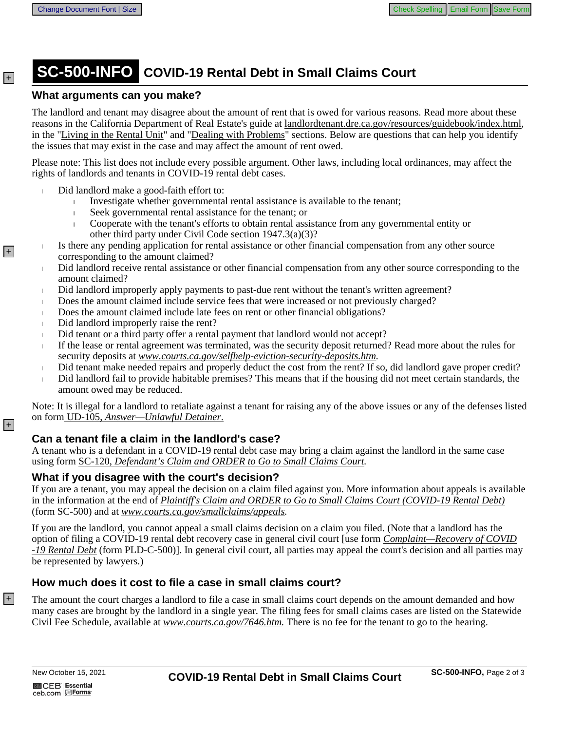# **SC-500-INFO COVID-19 Rental Debt in Small Claims Court**

#### **What arguments can you make?**

The landlord and tenant may disagree about the amount of rent that is owed for various reasons. Read more about these reasons in the California Department of Real Estate's guide at landlordtenant.dre.ca.gov/resources/guidebook/index.html, in the "Living in the Rental Unit" and "Dealing with Problems" sections. Below are questions that can help you identify the issues that may exist in the case and may affect the amount of rent owed.

Please note: This list does not include every possible argument. Other laws, including local ordinances, may affect the rights of landlords and tenants in COVID-19 rental debt cases.

- Did landlord make a good-faith effort to:  $\mathbf{I}$ 
	- Investigate whether governmental rental assistance is available to the tenant;  $\mathbf{L}$
	- Seek governmental rental assistance for the tenant; or
	- Cooperate with the tenant's efforts to obtain rental assistance from any governmental entity or  $\mathbf{L}$ other third party under Civil Code section 1947.3(a)(3)?
- Is there any pending application for rental assistance or other financial compensation from any other source  $\overline{1}$ corresponding to the amount claimed?
	- Did landlord receive rental assistance or other financial compensation from any other source corresponding to the Ĺ amount claimed?
	- Did landlord improperly apply payments to past-due rent without the tenant's written agreement?  $\mathsf{L}$
	- Does the amount claimed include service fees that were increased or not previously charged? L
	- Does the amount claimed include late fees on rent or other financial obligations?  $\mathbf{I}$
	- Did landlord improperly raise the rent?  $\overline{1}$
- Did tenant or a third party offer a rental payment that landlord would not accept?  $\overline{1}$
- If the lease or rental agreement was terminated, was the security deposit returned? Read more about the rules for  $\mathbf{L}$ security deposits at www.courts.ca.gov/selfhelp-eviction-security-deposits.htm.
- Did tenant make needed repairs and properly deduct the cost from the rent? If so, did landlord gave proper credit?  $\mathbf{I}$
- Did landlord fail to provide habitable premises? This means that if the housing did not meet certain standards, the L amount owed may be reduced.

Note: It is illegal for a landlord to retaliate against a tenant for raising any of the above issues or any of the defenses listed on form UD-105, Answer-Unlawful Detainer.

#### Can a tenant file a claim in the landlord's case?

A tenant who is a defendant in a COVID-19 rental debt case may bring a claim against the landlord in the same case using form SC-120, Defendant's Claim and ORDER to Go to Small Claims Court.

#### What if you disagree with the court's decision?

If you are a tenant, you may appeal the decision on a claim filed against you. More information about appeals is available in the information at the end of Plaintiff's Claim and ORDER to Go to Small Claims Court (COVID-19 Rental Debt) (form SC-500) and at www.courts.ca.gov/smallclaims/appeals.

If you are the landlord, you cannot appeal a small claims decision on a claim you filed. (Note that a landlord has the option of filing a COVID-19 rental debt recovery case in general civil court [use form *Complaint—Recovery of COVID* -19 Rental Debt (form PLD-C-500)]. In general civil court, all parties may appeal the court's decision and all parties may be represented by lawyers.)

#### How much does it cost to file a case in small claims court?

The amount the court charges a landlord to file a case in small claims court depends on the amount demanded and how many cases are brought by the landlord in a single year. The filing fees for small claims cases are listed on the Statewide Civil Fee Schedule, available at www.courts.ca.gov/7646.htm. There is no fee for the tenant to go to the hearing.

 $+$ 

 $+$ 

+

 $\overline{+}$